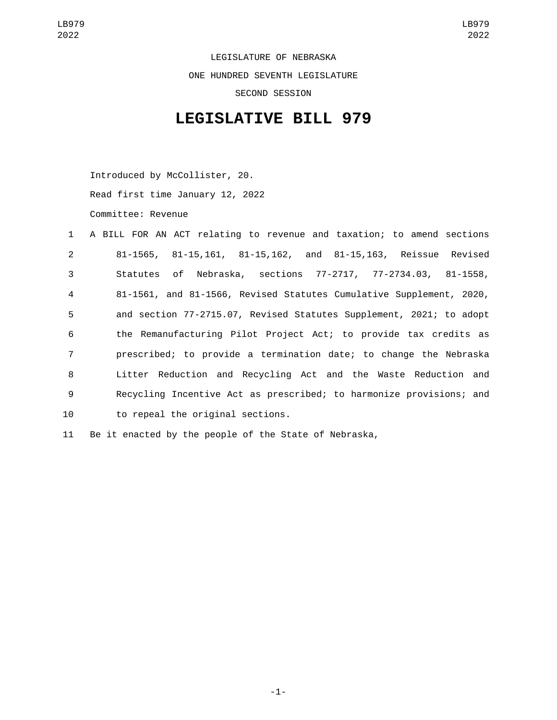LEGISLATURE OF NEBRASKA ONE HUNDRED SEVENTH LEGISLATURE SECOND SESSION

## **LEGISLATIVE BILL 979**

Introduced by McCollister, 20.

Read first time January 12, 2022

Committee: Revenue

|                | 1 A BILL FOR AN ACT relating to revenue and taxation; to amend sections |
|----------------|-------------------------------------------------------------------------|
| 2              | 81-1565, 81-15,161, 81-15,162, and 81-15,163, Reissue Revised           |
| 3              | Statutes of Nebraska, sections 77-2717, 77-2734.03, 81-1558,            |
| $\overline{4}$ | 81-1561, and 81-1566, Revised Statutes Cumulative Supplement, 2020,     |
| 5              | and section 77-2715.07, Revised Statutes Supplement, 2021; to adopt     |
| 6              | the Remanufacturing Pilot Project Act; to provide tax credits as        |
| $\overline{7}$ | prescribed; to provide a termination date; to change the Nebraska       |
| 8              | Litter Reduction and Recycling Act and the Waste Reduction and          |
| 9              | Recycling Incentive Act as prescribed; to harmonize provisions; and     |
| 10             | to repeal the original sections.                                        |
|                |                                                                         |

11 Be it enacted by the people of the State of Nebraska,

-1-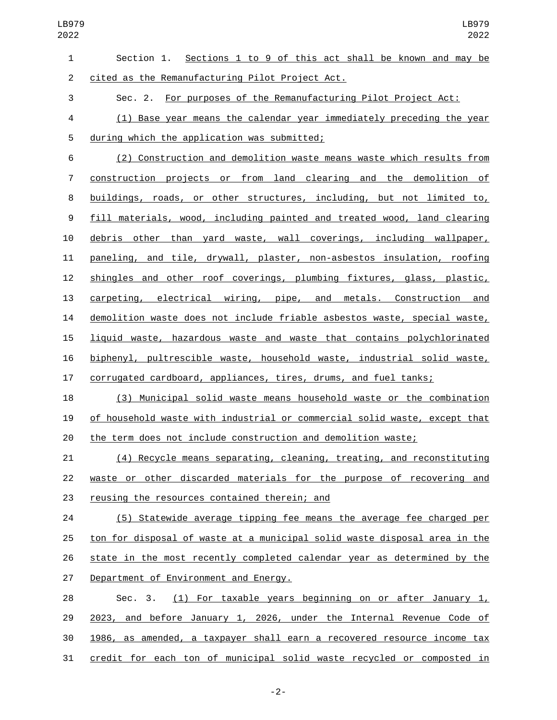| $\mathbf{1}$     | Section 1. Sections 1 to 9 of this act shall be known and may be          |
|------------------|---------------------------------------------------------------------------|
| $\overline{2}$   | cited as the Remanufacturing Pilot Project Act.                           |
| 3                | Sec. 2. For purposes of the Remanufacturing Pilot Project Act:            |
| $\overline{a}$   | (1) Base year means the calendar year immediately preceding the year      |
| 5                | during which the application was submitted;                               |
| 6                | (2) Construction and demolition waste means waste which results from      |
| 7                | construction projects or from land clearing and the demolition of         |
| 8                | buildings, roads, or other structures, including, but not limited to,     |
| $\boldsymbol{9}$ | fill materials, wood, including painted and treated wood, land clearing   |
| 10               | debris other than yard waste, wall coverings, including wallpaper,        |
| 11               | paneling, and tile, drywall, plaster, non-asbestos insulation, roofing    |
| 12               | shingles and other roof coverings, plumbing fixtures, glass, plastic,     |
| 13               | carpeting, electrical wiring, pipe, and metals. Construction and          |
| 14               | demolition waste does not include friable asbestos waste, special waste,  |
| 15               | liquid waste, hazardous waste and waste that contains polychlorinated     |
| 16               | biphenyl, pultrescible waste, household waste, industrial solid waste,    |
| 17               | corrugated cardboard, appliances, tires, drums, and fuel tanks;           |
| 18               | (3) Municipal solid waste means household waste or the combination        |
| 19               | of household waste with industrial or commercial solid waste, except that |
| 20               | the term does not include construction and demolition waste;              |

 (4) Recycle means separating, cleaning, treating, and reconstituting waste or other discarded materials for the purpose of recovering and 23 reusing the resources contained therein; and

 (5) Statewide average tipping fee means the average fee charged per ton for disposal of waste at a municipal solid waste disposal area in the 26 state in the most recently completed calendar year as determined by the 27 Department of Environment and Energy.

 Sec. 3. (1) For taxable years beginning on or after January 1, 2023, and before January 1, 2026, under the Internal Revenue Code of 1986, as amended, a taxpayer shall earn a recovered resource income tax credit for each ton of municipal solid waste recycled or composted in

-2-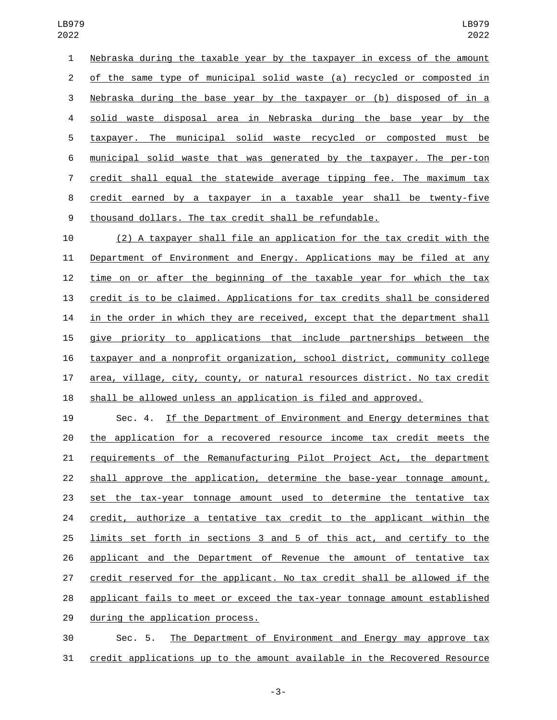Nebraska during the taxable year by the taxpayer in excess of the amount of the same type of municipal solid waste (a) recycled or composted in Nebraska during the base year by the taxpayer or (b) disposed of in a solid waste disposal area in Nebraska during the base year by the taxpayer. The municipal solid waste recycled or composted must be municipal solid waste that was generated by the taxpayer. The per-ton credit shall equal the statewide average tipping fee. The maximum tax credit earned by a taxpayer in a taxable year shall be twenty-five thousand dollars. The tax credit shall be refundable.

 (2) A taxpayer shall file an application for the tax credit with the Department of Environment and Energy. Applications may be filed at any time on or after the beginning of the taxable year for which the tax credit is to be claimed. Applications for tax credits shall be considered in the order in which they are received, except that the department shall give priority to applications that include partnerships between the taxpayer and a nonprofit organization, school district, community college area, village, city, county, or natural resources district. No tax credit shall be allowed unless an application is filed and approved.

 Sec. 4. If the Department of Environment and Energy determines that the application for a recovered resource income tax credit meets the requirements of the Remanufacturing Pilot Project Act, the department 22 shall approve the application, determine the base-year tonnage amount, set the tax-year tonnage amount used to determine the tentative tax 24 credit, authorize a tentative tax credit to the applicant within the limits set forth in sections 3 and 5 of this act, and certify to the applicant and the Department of Revenue the amount of tentative tax credit reserved for the applicant. No tax credit shall be allowed if the applicant fails to meet or exceed the tax-year tonnage amount established 29 during the application process.

 Sec. 5. The Department of Environment and Energy may approve tax credit applications up to the amount available in the Recovered Resource

-3-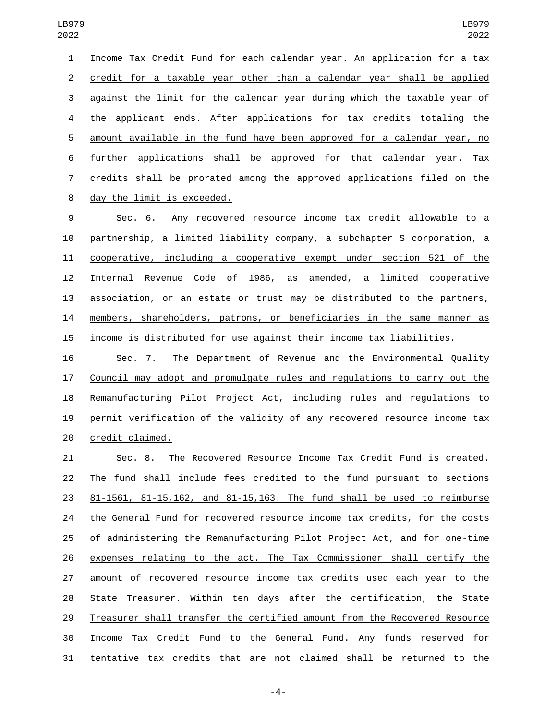Income Tax Credit Fund for each calendar year. An application for a tax credit for a taxable year other than a calendar year shall be applied against the limit for the calendar year during which the taxable year of the applicant ends. After applications for tax credits totaling the amount available in the fund have been approved for a calendar year, no further applications shall be approved for that calendar year. Tax credits shall be prorated among the approved applications filed on the 8 day the limit is exceeded. Sec. 6. Any recovered resource income tax credit allowable to a partnership, a limited liability company, a subchapter S corporation, a cooperative, including a cooperative exempt under section 521 of the Internal Revenue Code of 1986, as amended, a limited cooperative association, or an estate or trust may be distributed to the partners, members, shareholders, patrons, or beneficiaries in the same manner as

income is distributed for use against their income tax liabilities.

 Sec. 7. The Department of Revenue and the Environmental Quality Council may adopt and promulgate rules and regulations to carry out the Remanufacturing Pilot Project Act, including rules and regulations to permit verification of the validity of any recovered resource income tax 20 credit claimed.

 Sec. 8. The Recovered Resource Income Tax Credit Fund is created. The fund shall include fees credited to the fund pursuant to sections 81-1561, 81-15,162, and 81-15,163. The fund shall be used to reimburse the General Fund for recovered resource income tax credits, for the costs of administering the Remanufacturing Pilot Project Act, and for one-time expenses relating to the act. The Tax Commissioner shall certify the amount of recovered resource income tax credits used each year to the State Treasurer. Within ten days after the certification, the State Treasurer shall transfer the certified amount from the Recovered Resource Income Tax Credit Fund to the General Fund. Any funds reserved for tentative tax credits that are not claimed shall be returned to the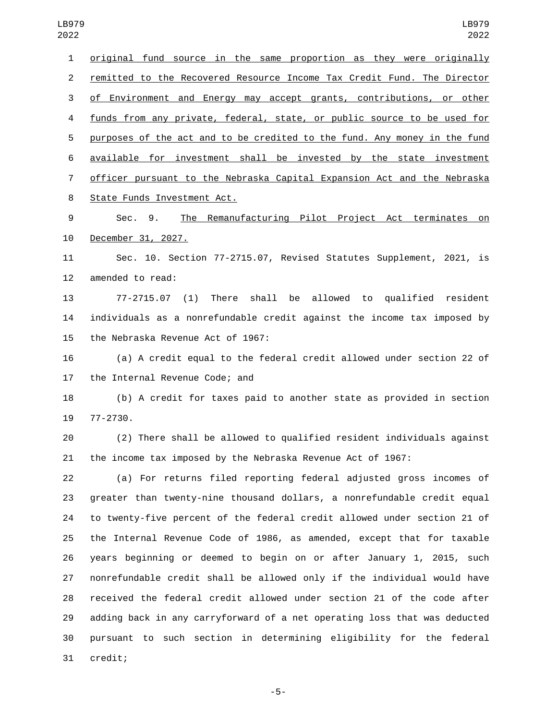original fund source in the same proportion as they were originally remitted to the Recovered Resource Income Tax Credit Fund. The Director of Environment and Energy may accept grants, contributions, or other funds from any private, federal, state, or public source to be used for purposes of the act and to be credited to the fund. Any money in the fund available for investment shall be invested by the state investment officer pursuant to the Nebraska Capital Expansion Act and the Nebraska 8 State Funds Investment Act. Sec. 9. The Remanufacturing Pilot Project Act terminates on 10 December 31, 2027. Sec. 10. Section 77-2715.07, Revised Statutes Supplement, 2021, is 12 amended to read: 77-2715.07 (1) There shall be allowed to qualified resident individuals as a nonrefundable credit against the income tax imposed by 15 the Nebraska Revenue Act of 1967: (a) A credit equal to the federal credit allowed under section 22 of 17 the Internal Revenue Code; and (b) A credit for taxes paid to another state as provided in section 19 77-2730. (2) There shall be allowed to qualified resident individuals against the income tax imposed by the Nebraska Revenue Act of 1967: (a) For returns filed reporting federal adjusted gross incomes of greater than twenty-nine thousand dollars, a nonrefundable credit equal to twenty-five percent of the federal credit allowed under section 21 of the Internal Revenue Code of 1986, as amended, except that for taxable years beginning or deemed to begin on or after January 1, 2015, such nonrefundable credit shall be allowed only if the individual would have received the federal credit allowed under section 21 of the code after adding back in any carryforward of a net operating loss that was deducted pursuant to such section in determining eligibility for the federal 

31 credit;

-5-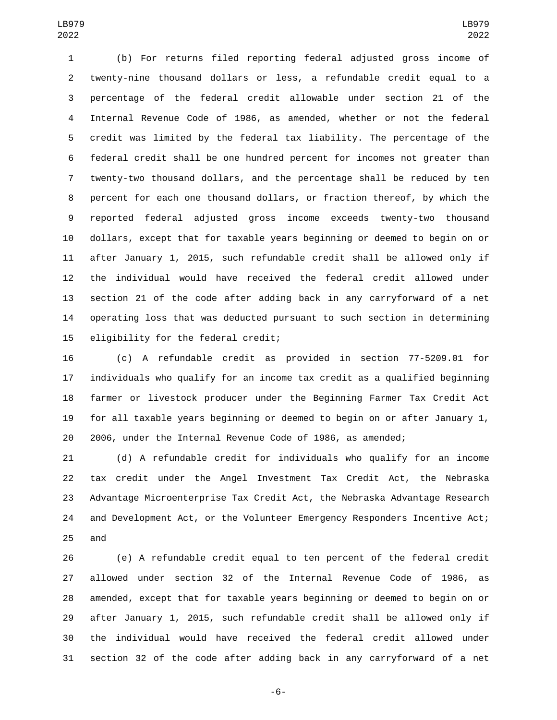(b) For returns filed reporting federal adjusted gross income of twenty-nine thousand dollars or less, a refundable credit equal to a percentage of the federal credit allowable under section 21 of the Internal Revenue Code of 1986, as amended, whether or not the federal credit was limited by the federal tax liability. The percentage of the federal credit shall be one hundred percent for incomes not greater than twenty-two thousand dollars, and the percentage shall be reduced by ten percent for each one thousand dollars, or fraction thereof, by which the reported federal adjusted gross income exceeds twenty-two thousand dollars, except that for taxable years beginning or deemed to begin on or after January 1, 2015, such refundable credit shall be allowed only if the individual would have received the federal credit allowed under section 21 of the code after adding back in any carryforward of a net operating loss that was deducted pursuant to such section in determining 15 eligibility for the federal credit;

 (c) A refundable credit as provided in section 77-5209.01 for individuals who qualify for an income tax credit as a qualified beginning farmer or livestock producer under the Beginning Farmer Tax Credit Act for all taxable years beginning or deemed to begin on or after January 1, 2006, under the Internal Revenue Code of 1986, as amended;

 (d) A refundable credit for individuals who qualify for an income tax credit under the Angel Investment Tax Credit Act, the Nebraska Advantage Microenterprise Tax Credit Act, the Nebraska Advantage Research and Development Act, or the Volunteer Emergency Responders Incentive Act; and

 (e) A refundable credit equal to ten percent of the federal credit allowed under section 32 of the Internal Revenue Code of 1986, as amended, except that for taxable years beginning or deemed to begin on or after January 1, 2015, such refundable credit shall be allowed only if the individual would have received the federal credit allowed under section 32 of the code after adding back in any carryforward of a net

-6-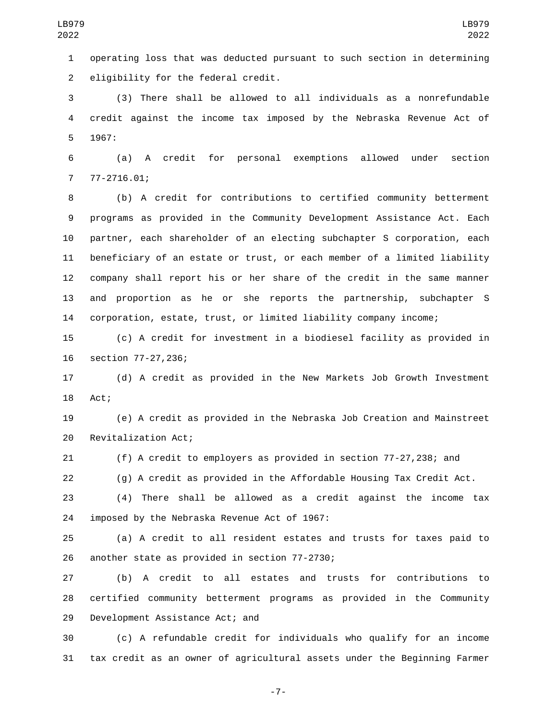operating loss that was deducted pursuant to such section in determining 2 eligibility for the federal credit.

 (3) There shall be allowed to all individuals as a nonrefundable credit against the income tax imposed by the Nebraska Revenue Act of 5 1967:

 (a) A credit for personal exemptions allowed under section 77-2716.01:

 (b) A credit for contributions to certified community betterment programs as provided in the Community Development Assistance Act. Each partner, each shareholder of an electing subchapter S corporation, each beneficiary of an estate or trust, or each member of a limited liability company shall report his or her share of the credit in the same manner and proportion as he or she reports the partnership, subchapter S corporation, estate, trust, or limited liability company income;

 (c) A credit for investment in a biodiesel facility as provided in 16 section 77-27,236;

 (d) A credit as provided in the New Markets Job Growth Investment 18 Act;

 (e) A credit as provided in the Nebraska Job Creation and Mainstreet 20 Revitalization Act;

(f) A credit to employers as provided in section 77-27,238; and

(g) A credit as provided in the Affordable Housing Tax Credit Act.

 (4) There shall be allowed as a credit against the income tax 24 imposed by the Nebraska Revenue Act of 1967:

 (a) A credit to all resident estates and trusts for taxes paid to 26 another state as provided in section 77-2730;

 (b) A credit to all estates and trusts for contributions to certified community betterment programs as provided in the Community 29 Development Assistance Act; and

 (c) A refundable credit for individuals who qualify for an income tax credit as an owner of agricultural assets under the Beginning Farmer

-7-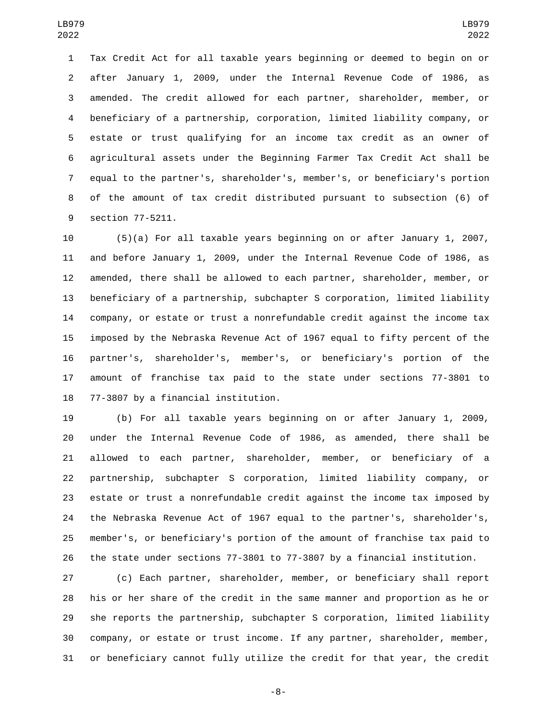Tax Credit Act for all taxable years beginning or deemed to begin on or after January 1, 2009, under the Internal Revenue Code of 1986, as amended. The credit allowed for each partner, shareholder, member, or beneficiary of a partnership, corporation, limited liability company, or estate or trust qualifying for an income tax credit as an owner of agricultural assets under the Beginning Farmer Tax Credit Act shall be equal to the partner's, shareholder's, member's, or beneficiary's portion of the amount of tax credit distributed pursuant to subsection (6) of 9 section 77-5211.

 (5)(a) For all taxable years beginning on or after January 1, 2007, and before January 1, 2009, under the Internal Revenue Code of 1986, as amended, there shall be allowed to each partner, shareholder, member, or beneficiary of a partnership, subchapter S corporation, limited liability company, or estate or trust a nonrefundable credit against the income tax imposed by the Nebraska Revenue Act of 1967 equal to fifty percent of the partner's, shareholder's, member's, or beneficiary's portion of the amount of franchise tax paid to the state under sections 77-3801 to 18 77-3807 by a financial institution.

 (b) For all taxable years beginning on or after January 1, 2009, under the Internal Revenue Code of 1986, as amended, there shall be allowed to each partner, shareholder, member, or beneficiary of a partnership, subchapter S corporation, limited liability company, or estate or trust a nonrefundable credit against the income tax imposed by the Nebraska Revenue Act of 1967 equal to the partner's, shareholder's, member's, or beneficiary's portion of the amount of franchise tax paid to the state under sections 77-3801 to 77-3807 by a financial institution.

 (c) Each partner, shareholder, member, or beneficiary shall report his or her share of the credit in the same manner and proportion as he or she reports the partnership, subchapter S corporation, limited liability company, or estate or trust income. If any partner, shareholder, member, or beneficiary cannot fully utilize the credit for that year, the credit

-8-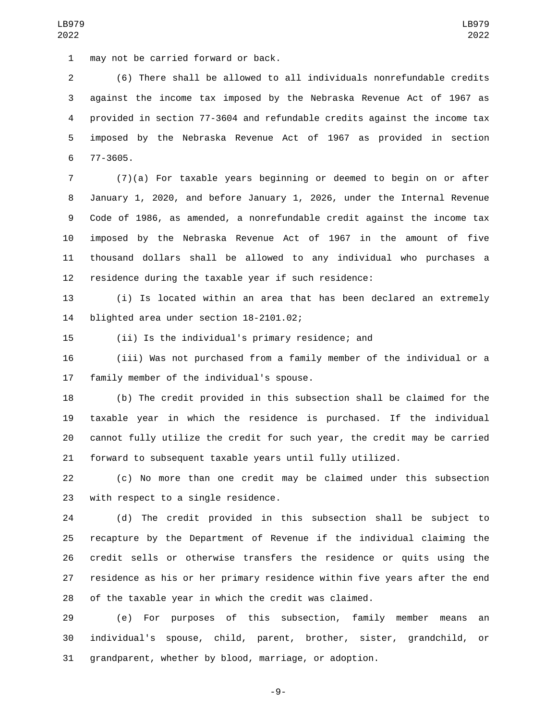1 may not be carried forward or back.

 (6) There shall be allowed to all individuals nonrefundable credits against the income tax imposed by the Nebraska Revenue Act of 1967 as provided in section 77-3604 and refundable credits against the income tax imposed by the Nebraska Revenue Act of 1967 as provided in section 6 77-3605.

 (7)(a) For taxable years beginning or deemed to begin on or after January 1, 2020, and before January 1, 2026, under the Internal Revenue Code of 1986, as amended, a nonrefundable credit against the income tax imposed by the Nebraska Revenue Act of 1967 in the amount of five thousand dollars shall be allowed to any individual who purchases a residence during the taxable year if such residence:

 (i) Is located within an area that has been declared an extremely 14 blighted area under section 18-2101.02;

(ii) Is the individual's primary residence; and

 (iii) Was not purchased from a family member of the individual or a 17 family member of the individual's spouse.

 (b) The credit provided in this subsection shall be claimed for the taxable year in which the residence is purchased. If the individual cannot fully utilize the credit for such year, the credit may be carried forward to subsequent taxable years until fully utilized.

 (c) No more than one credit may be claimed under this subsection 23 with respect to a single residence.

 (d) The credit provided in this subsection shall be subject to recapture by the Department of Revenue if the individual claiming the credit sells or otherwise transfers the residence or quits using the residence as his or her primary residence within five years after the end of the taxable year in which the credit was claimed.

 (e) For purposes of this subsection, family member means an individual's spouse, child, parent, brother, sister, grandchild, or grandparent, whether by blood, marriage, or adoption.

-9-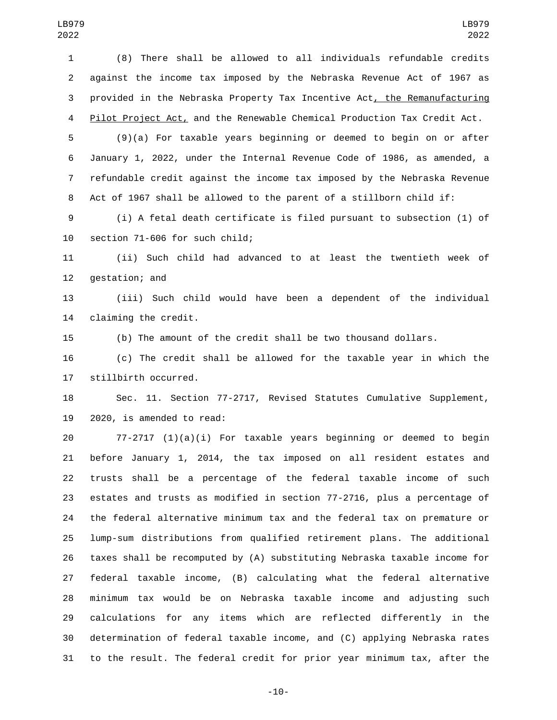(8) There shall be allowed to all individuals refundable credits against the income tax imposed by the Nebraska Revenue Act of 1967 as provided in the Nebraska Property Tax Incentive Act, the Remanufacturing 4 Pilot Project Act, and the Renewable Chemical Production Tax Credit Act.

 (9)(a) For taxable years beginning or deemed to begin on or after January 1, 2022, under the Internal Revenue Code of 1986, as amended, a refundable credit against the income tax imposed by the Nebraska Revenue Act of 1967 shall be allowed to the parent of a stillborn child if:

 (i) A fetal death certificate is filed pursuant to subsection (1) of 10 section 71-606 for such child;

 (ii) Such child had advanced to at least the twentieth week of 12 gestation; and

 (iii) Such child would have been a dependent of the individual 14 claiming the credit.

(b) The amount of the credit shall be two thousand dollars.

 (c) The credit shall be allowed for the taxable year in which the 17 stillbirth occurred.

 Sec. 11. Section 77-2717, Revised Statutes Cumulative Supplement, 2020, is amended to read:

 77-2717 (1)(a)(i) For taxable years beginning or deemed to begin before January 1, 2014, the tax imposed on all resident estates and trusts shall be a percentage of the federal taxable income of such estates and trusts as modified in section 77-2716, plus a percentage of the federal alternative minimum tax and the federal tax on premature or lump-sum distributions from qualified retirement plans. The additional taxes shall be recomputed by (A) substituting Nebraska taxable income for federal taxable income, (B) calculating what the federal alternative minimum tax would be on Nebraska taxable income and adjusting such calculations for any items which are reflected differently in the determination of federal taxable income, and (C) applying Nebraska rates to the result. The federal credit for prior year minimum tax, after the

-10-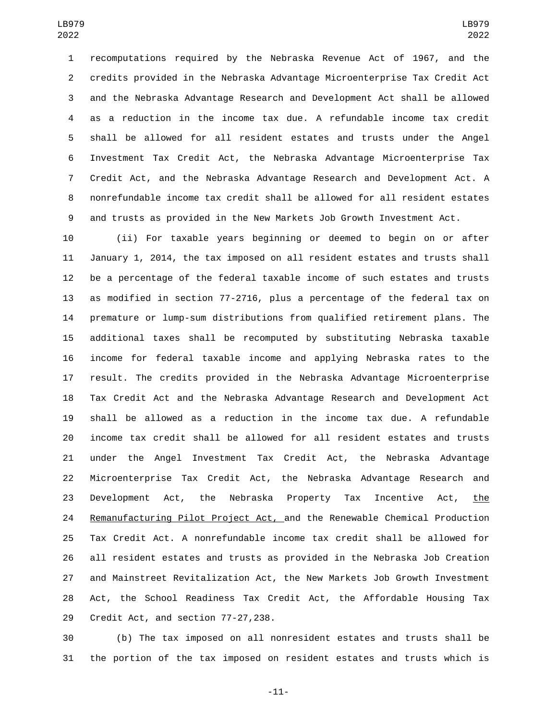recomputations required by the Nebraska Revenue Act of 1967, and the credits provided in the Nebraska Advantage Microenterprise Tax Credit Act and the Nebraska Advantage Research and Development Act shall be allowed as a reduction in the income tax due. A refundable income tax credit shall be allowed for all resident estates and trusts under the Angel Investment Tax Credit Act, the Nebraska Advantage Microenterprise Tax Credit Act, and the Nebraska Advantage Research and Development Act. A nonrefundable income tax credit shall be allowed for all resident estates and trusts as provided in the New Markets Job Growth Investment Act.

 (ii) For taxable years beginning or deemed to begin on or after January 1, 2014, the tax imposed on all resident estates and trusts shall be a percentage of the federal taxable income of such estates and trusts as modified in section 77-2716, plus a percentage of the federal tax on premature or lump-sum distributions from qualified retirement plans. The additional taxes shall be recomputed by substituting Nebraska taxable income for federal taxable income and applying Nebraska rates to the result. The credits provided in the Nebraska Advantage Microenterprise Tax Credit Act and the Nebraska Advantage Research and Development Act shall be allowed as a reduction in the income tax due. A refundable income tax credit shall be allowed for all resident estates and trusts under the Angel Investment Tax Credit Act, the Nebraska Advantage Microenterprise Tax Credit Act, the Nebraska Advantage Research and Development Act, the Nebraska Property Tax Incentive Act, the 24 Remanufacturing Pilot Project Act, and the Renewable Chemical Production Tax Credit Act. A nonrefundable income tax credit shall be allowed for all resident estates and trusts as provided in the Nebraska Job Creation and Mainstreet Revitalization Act, the New Markets Job Growth Investment Act, the School Readiness Tax Credit Act, the Affordable Housing Tax 29 Credit Act, and section 77-27,238.

 (b) The tax imposed on all nonresident estates and trusts shall be the portion of the tax imposed on resident estates and trusts which is

-11-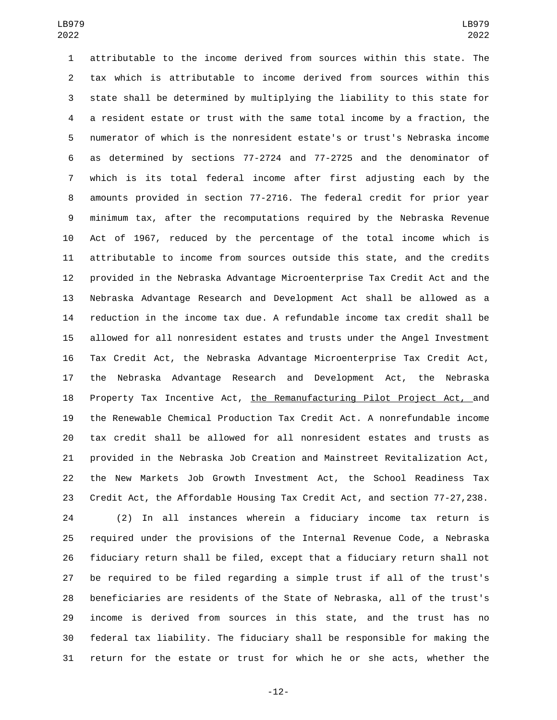attributable to the income derived from sources within this state. The tax which is attributable to income derived from sources within this state shall be determined by multiplying the liability to this state for a resident estate or trust with the same total income by a fraction, the numerator of which is the nonresident estate's or trust's Nebraska income as determined by sections 77-2724 and 77-2725 and the denominator of which is its total federal income after first adjusting each by the amounts provided in section 77-2716. The federal credit for prior year minimum tax, after the recomputations required by the Nebraska Revenue Act of 1967, reduced by the percentage of the total income which is attributable to income from sources outside this state, and the credits provided in the Nebraska Advantage Microenterprise Tax Credit Act and the Nebraska Advantage Research and Development Act shall be allowed as a reduction in the income tax due. A refundable income tax credit shall be allowed for all nonresident estates and trusts under the Angel Investment Tax Credit Act, the Nebraska Advantage Microenterprise Tax Credit Act, the Nebraska Advantage Research and Development Act, the Nebraska 18 Property Tax Incentive Act, the Remanufacturing Pilot Project Act, and the Renewable Chemical Production Tax Credit Act. A nonrefundable income tax credit shall be allowed for all nonresident estates and trusts as provided in the Nebraska Job Creation and Mainstreet Revitalization Act, the New Markets Job Growth Investment Act, the School Readiness Tax Credit Act, the Affordable Housing Tax Credit Act, and section 77-27,238.

 (2) In all instances wherein a fiduciary income tax return is required under the provisions of the Internal Revenue Code, a Nebraska fiduciary return shall be filed, except that a fiduciary return shall not be required to be filed regarding a simple trust if all of the trust's beneficiaries are residents of the State of Nebraska, all of the trust's income is derived from sources in this state, and the trust has no federal tax liability. The fiduciary shall be responsible for making the return for the estate or trust for which he or she acts, whether the

-12-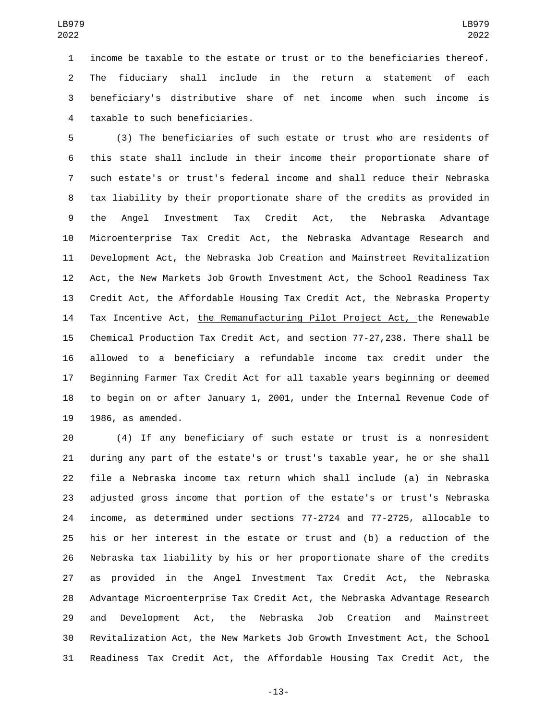income be taxable to the estate or trust or to the beneficiaries thereof. The fiduciary shall include in the return a statement of each beneficiary's distributive share of net income when such income is 4 taxable to such beneficiaries.

 (3) The beneficiaries of such estate or trust who are residents of this state shall include in their income their proportionate share of such estate's or trust's federal income and shall reduce their Nebraska tax liability by their proportionate share of the credits as provided in the Angel Investment Tax Credit Act, the Nebraska Advantage Microenterprise Tax Credit Act, the Nebraska Advantage Research and Development Act, the Nebraska Job Creation and Mainstreet Revitalization Act, the New Markets Job Growth Investment Act, the School Readiness Tax Credit Act, the Affordable Housing Tax Credit Act, the Nebraska Property 14 Tax Incentive Act, the Remanufacturing Pilot Project Act, the Renewable Chemical Production Tax Credit Act, and section 77-27,238. There shall be allowed to a beneficiary a refundable income tax credit under the Beginning Farmer Tax Credit Act for all taxable years beginning or deemed to begin on or after January 1, 2001, under the Internal Revenue Code of 19 1986, as amended.

 (4) If any beneficiary of such estate or trust is a nonresident during any part of the estate's or trust's taxable year, he or she shall file a Nebraska income tax return which shall include (a) in Nebraska adjusted gross income that portion of the estate's or trust's Nebraska income, as determined under sections 77-2724 and 77-2725, allocable to his or her interest in the estate or trust and (b) a reduction of the Nebraska tax liability by his or her proportionate share of the credits as provided in the Angel Investment Tax Credit Act, the Nebraska Advantage Microenterprise Tax Credit Act, the Nebraska Advantage Research and Development Act, the Nebraska Job Creation and Mainstreet Revitalization Act, the New Markets Job Growth Investment Act, the School Readiness Tax Credit Act, the Affordable Housing Tax Credit Act, the

-13-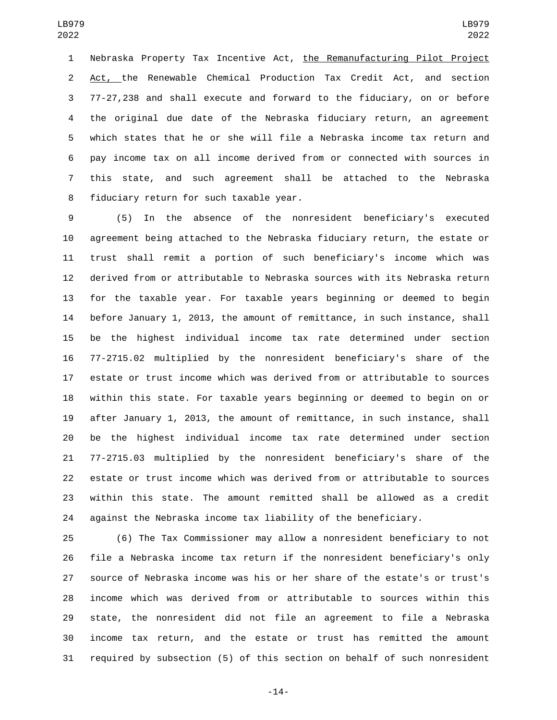Nebraska Property Tax Incentive Act, the Remanufacturing Pilot Project Act, the Renewable Chemical Production Tax Credit Act, and section 77-27,238 and shall execute and forward to the fiduciary, on or before the original due date of the Nebraska fiduciary return, an agreement which states that he or she will file a Nebraska income tax return and pay income tax on all income derived from or connected with sources in this state, and such agreement shall be attached to the Nebraska 8 fiduciary return for such taxable year.

 (5) In the absence of the nonresident beneficiary's executed agreement being attached to the Nebraska fiduciary return, the estate or trust shall remit a portion of such beneficiary's income which was derived from or attributable to Nebraska sources with its Nebraska return for the taxable year. For taxable years beginning or deemed to begin before January 1, 2013, the amount of remittance, in such instance, shall be the highest individual income tax rate determined under section 77-2715.02 multiplied by the nonresident beneficiary's share of the estate or trust income which was derived from or attributable to sources within this state. For taxable years beginning or deemed to begin on or after January 1, 2013, the amount of remittance, in such instance, shall be the highest individual income tax rate determined under section 77-2715.03 multiplied by the nonresident beneficiary's share of the estate or trust income which was derived from or attributable to sources within this state. The amount remitted shall be allowed as a credit against the Nebraska income tax liability of the beneficiary.

 (6) The Tax Commissioner may allow a nonresident beneficiary to not file a Nebraska income tax return if the nonresident beneficiary's only source of Nebraska income was his or her share of the estate's or trust's income which was derived from or attributable to sources within this state, the nonresident did not file an agreement to file a Nebraska income tax return, and the estate or trust has remitted the amount required by subsection (5) of this section on behalf of such nonresident

-14-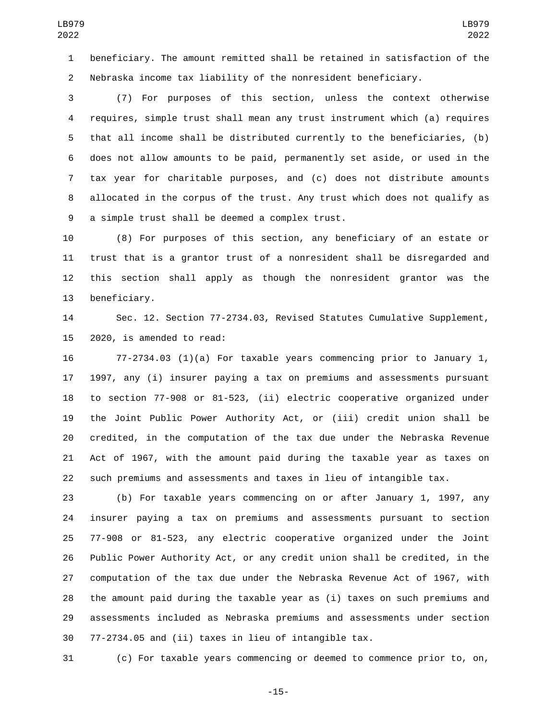beneficiary. The amount remitted shall be retained in satisfaction of the Nebraska income tax liability of the nonresident beneficiary.

 (7) For purposes of this section, unless the context otherwise requires, simple trust shall mean any trust instrument which (a) requires that all income shall be distributed currently to the beneficiaries, (b) does not allow amounts to be paid, permanently set aside, or used in the tax year for charitable purposes, and (c) does not distribute amounts allocated in the corpus of the trust. Any trust which does not qualify as 9 a simple trust shall be deemed a complex trust.

 (8) For purposes of this section, any beneficiary of an estate or trust that is a grantor trust of a nonresident shall be disregarded and this section shall apply as though the nonresident grantor was the 13 beneficiary.

 Sec. 12. Section 77-2734.03, Revised Statutes Cumulative Supplement, 15 2020, is amended to read:

 77-2734.03 (1)(a) For taxable years commencing prior to January 1, 1997, any (i) insurer paying a tax on premiums and assessments pursuant to section 77-908 or 81-523, (ii) electric cooperative organized under the Joint Public Power Authority Act, or (iii) credit union shall be credited, in the computation of the tax due under the Nebraska Revenue Act of 1967, with the amount paid during the taxable year as taxes on such premiums and assessments and taxes in lieu of intangible tax.

 (b) For taxable years commencing on or after January 1, 1997, any insurer paying a tax on premiums and assessments pursuant to section 77-908 or 81-523, any electric cooperative organized under the Joint Public Power Authority Act, or any credit union shall be credited, in the computation of the tax due under the Nebraska Revenue Act of 1967, with the amount paid during the taxable year as (i) taxes on such premiums and assessments included as Nebraska premiums and assessments under section 77-2734.05 and (ii) taxes in lieu of intangible tax.

(c) For taxable years commencing or deemed to commence prior to, on,

-15-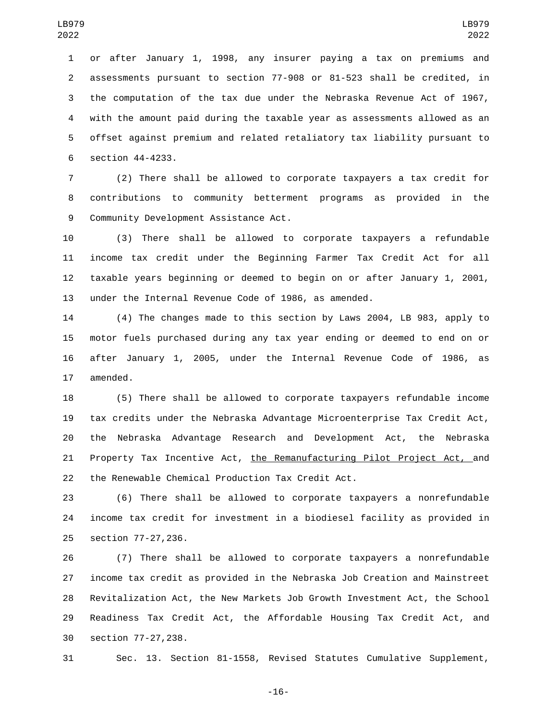or after January 1, 1998, any insurer paying a tax on premiums and assessments pursuant to section 77-908 or 81-523 shall be credited, in the computation of the tax due under the Nebraska Revenue Act of 1967, with the amount paid during the taxable year as assessments allowed as an offset against premium and related retaliatory tax liability pursuant to 6 section 44-4233.

 (2) There shall be allowed to corporate taxpayers a tax credit for contributions to community betterment programs as provided in the 9 Community Development Assistance Act.

 (3) There shall be allowed to corporate taxpayers a refundable income tax credit under the Beginning Farmer Tax Credit Act for all taxable years beginning or deemed to begin on or after January 1, 2001, under the Internal Revenue Code of 1986, as amended.

 (4) The changes made to this section by Laws 2004, LB 983, apply to motor fuels purchased during any tax year ending or deemed to end on or after January 1, 2005, under the Internal Revenue Code of 1986, as 17 amended.

 (5) There shall be allowed to corporate taxpayers refundable income tax credits under the Nebraska Advantage Microenterprise Tax Credit Act, the Nebraska Advantage Research and Development Act, the Nebraska Property Tax Incentive Act, the Remanufacturing Pilot Project Act, and 22 the Renewable Chemical Production Tax Credit Act.

 (6) There shall be allowed to corporate taxpayers a nonrefundable income tax credit for investment in a biodiesel facility as provided in 25 section 77-27,236.

 (7) There shall be allowed to corporate taxpayers a nonrefundable income tax credit as provided in the Nebraska Job Creation and Mainstreet Revitalization Act, the New Markets Job Growth Investment Act, the School Readiness Tax Credit Act, the Affordable Housing Tax Credit Act, and 30 section 77-27,238.

Sec. 13. Section 81-1558, Revised Statutes Cumulative Supplement,

-16-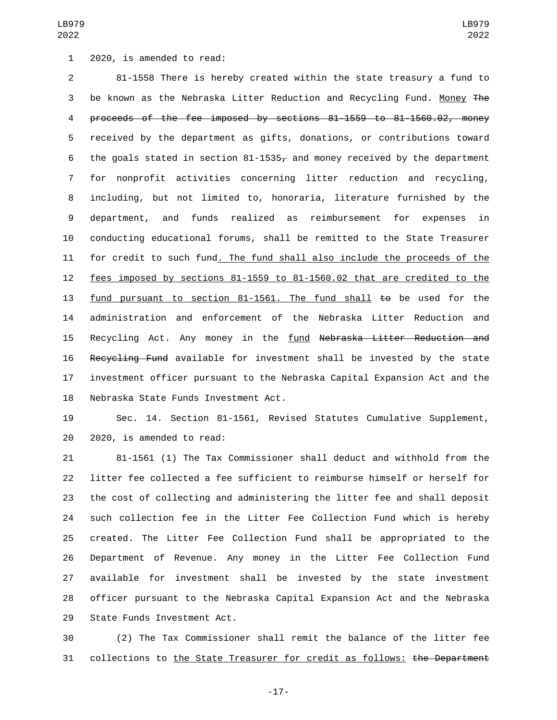1 2020, is amended to read:

 81-1558 There is hereby created within the state treasury a fund to be known as the Nebraska Litter Reduction and Recycling Fund. Money The proceeds of the fee imposed by sections 81-1559 to 81-1560.02, money received by the department as gifts, donations, or contributions toward 6 the goals stated in section 81-1535, and money received by the department for nonprofit activities concerning litter reduction and recycling, including, but not limited to, honoraria, literature furnished by the department, and funds realized as reimbursement for expenses in conducting educational forums, shall be remitted to the State Treasurer for credit to such fund. The fund shall also include the proceeds of the fees imposed by sections 81-1559 to 81-1560.02 that are credited to the 13 fund pursuant to section 81-1561. The fund shall to be used for the administration and enforcement of the Nebraska Litter Reduction and 15 Recycling Act. Any money in the fund Nebraska Litter Reduction and Recycling Fund available for investment shall be invested by the state investment officer pursuant to the Nebraska Capital Expansion Act and the 18 Nebraska State Funds Investment Act.

 Sec. 14. Section 81-1561, Revised Statutes Cumulative Supplement, 20 2020, is amended to read:

 81-1561 (1) The Tax Commissioner shall deduct and withhold from the litter fee collected a fee sufficient to reimburse himself or herself for the cost of collecting and administering the litter fee and shall deposit such collection fee in the Litter Fee Collection Fund which is hereby created. The Litter Fee Collection Fund shall be appropriated to the Department of Revenue. Any money in the Litter Fee Collection Fund available for investment shall be invested by the state investment officer pursuant to the Nebraska Capital Expansion Act and the Nebraska 29 State Funds Investment Act.

 (2) The Tax Commissioner shall remit the balance of the litter fee collections to the State Treasurer for credit as follows: the Department

-17-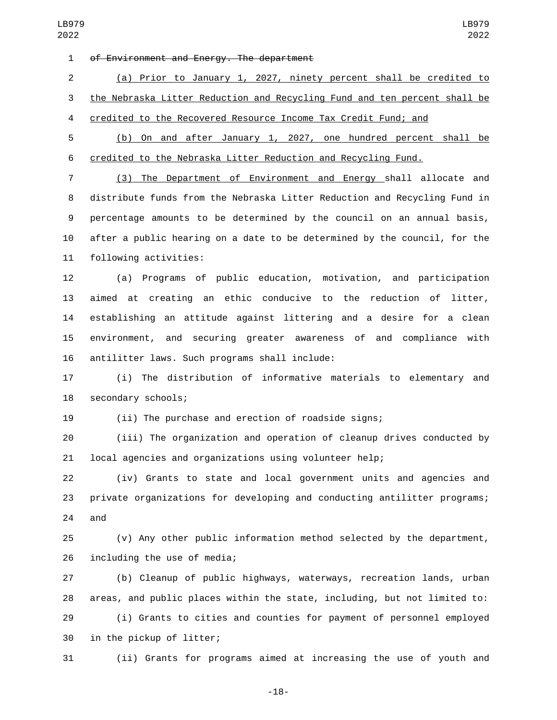1 of Environment and Energy. The department

 (a) Prior to January 1, 2027, ninety percent shall be credited to the Nebraska Litter Reduction and Recycling Fund and ten percent shall be credited to the Recovered Resource Income Tax Credit Fund; and

 (b) On and after January 1, 2027, one hundred percent shall be credited to the Nebraska Litter Reduction and Recycling Fund.

 (3) The Department of Environment and Energy shall allocate and distribute funds from the Nebraska Litter Reduction and Recycling Fund in percentage amounts to be determined by the council on an annual basis, after a public hearing on a date to be determined by the council, for the 11 following activities:

 (a) Programs of public education, motivation, and participation aimed at creating an ethic conducive to the reduction of litter, establishing an attitude against littering and a desire for a clean environment, and securing greater awareness of and compliance with 16 antilitter laws. Such programs shall include:

 (i) The distribution of informative materials to elementary and 18 secondary schools;

(ii) The purchase and erection of roadside signs;

 (iii) The organization and operation of cleanup drives conducted by local agencies and organizations using volunteer help;

 (iv) Grants to state and local government units and agencies and private organizations for developing and conducting antilitter programs; and

 (v) Any other public information method selected by the department, 26 including the use of media;

 (b) Cleanup of public highways, waterways, recreation lands, urban areas, and public places within the state, including, but not limited to: (i) Grants to cities and counties for payment of personnel employed 30 in the pickup of litter;

(ii) Grants for programs aimed at increasing the use of youth and

-18-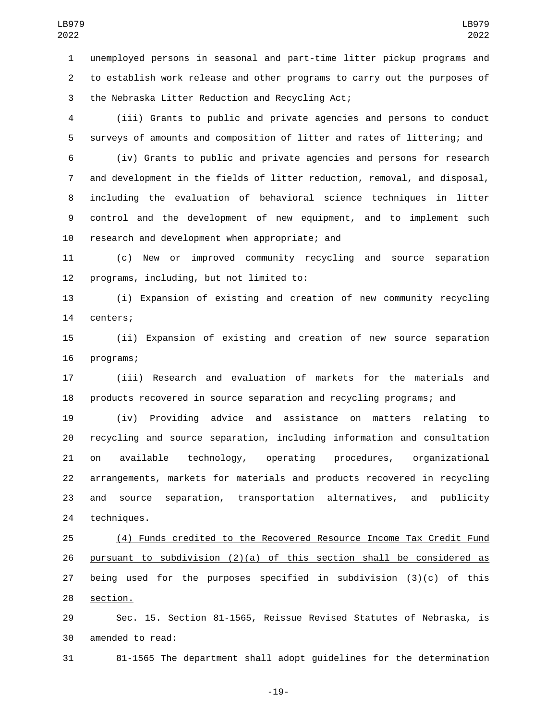unemployed persons in seasonal and part-time litter pickup programs and to establish work release and other programs to carry out the purposes of 3 the Nebraska Litter Reduction and Recycling Act;

 (iii) Grants to public and private agencies and persons to conduct surveys of amounts and composition of litter and rates of littering; and

 (iv) Grants to public and private agencies and persons for research and development in the fields of litter reduction, removal, and disposal, including the evaluation of behavioral science techniques in litter control and the development of new equipment, and to implement such 10 research and development when appropriate; and

 (c) New or improved community recycling and source separation 12 programs, including, but not limited to:

 (i) Expansion of existing and creation of new community recycling 14 centers;

 (ii) Expansion of existing and creation of new source separation 16 programs;

 (iii) Research and evaluation of markets for the materials and products recovered in source separation and recycling programs; and

 (iv) Providing advice and assistance on matters relating to recycling and source separation, including information and consultation on available technology, operating procedures, organizational arrangements, markets for materials and products recovered in recycling and source separation, transportation alternatives, and publicity 24 techniques.

 (4) Funds credited to the Recovered Resource Income Tax Credit Fund pursuant to subdivision (2)(a) of this section shall be considered as being used for the purposes specified in subdivision (3)(c) of this 28 section.

 Sec. 15. Section 81-1565, Reissue Revised Statutes of Nebraska, is 30 amended to read:

81-1565 The department shall adopt guidelines for the determination

-19-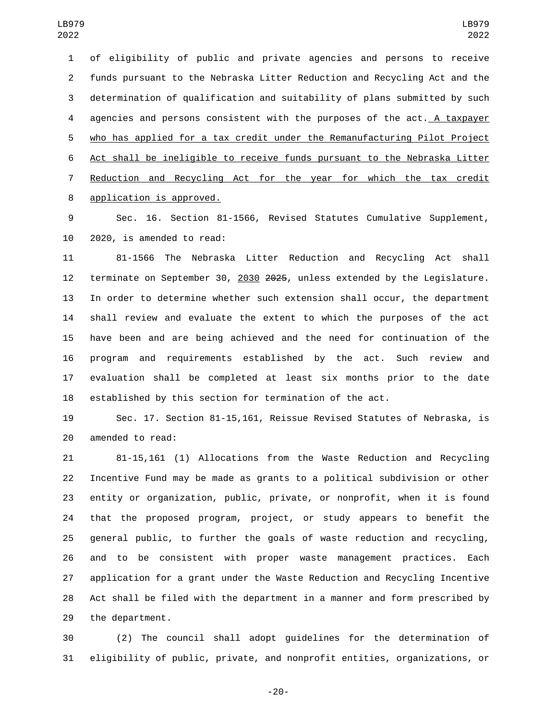of eligibility of public and private agencies and persons to receive funds pursuant to the Nebraska Litter Reduction and Recycling Act and the determination of qualification and suitability of plans submitted by such agencies and persons consistent with the purposes of the act. A taxpayer who has applied for a tax credit under the Remanufacturing Pilot Project Act shall be ineligible to receive funds pursuant to the Nebraska Litter Reduction and Recycling Act for the year for which the tax credit 8 application is approved.

 Sec. 16. Section 81-1566, Revised Statutes Cumulative Supplement, 10 2020, is amended to read:

 81-1566 The Nebraska Litter Reduction and Recycling Act shall terminate on September 30, 2030 2025, unless extended by the Legislature. In order to determine whether such extension shall occur, the department shall review and evaluate the extent to which the purposes of the act have been and are being achieved and the need for continuation of the program and requirements established by the act. Such review and evaluation shall be completed at least six months prior to the date established by this section for termination of the act.

 Sec. 17. Section 81-15,161, Reissue Revised Statutes of Nebraska, is 20 amended to read:

 81-15,161 (1) Allocations from the Waste Reduction and Recycling Incentive Fund may be made as grants to a political subdivision or other entity or organization, public, private, or nonprofit, when it is found that the proposed program, project, or study appears to benefit the general public, to further the goals of waste reduction and recycling, and to be consistent with proper waste management practices. Each application for a grant under the Waste Reduction and Recycling Incentive Act shall be filed with the department in a manner and form prescribed by 29 the department.

 (2) The council shall adopt guidelines for the determination of eligibility of public, private, and nonprofit entities, organizations, or

-20-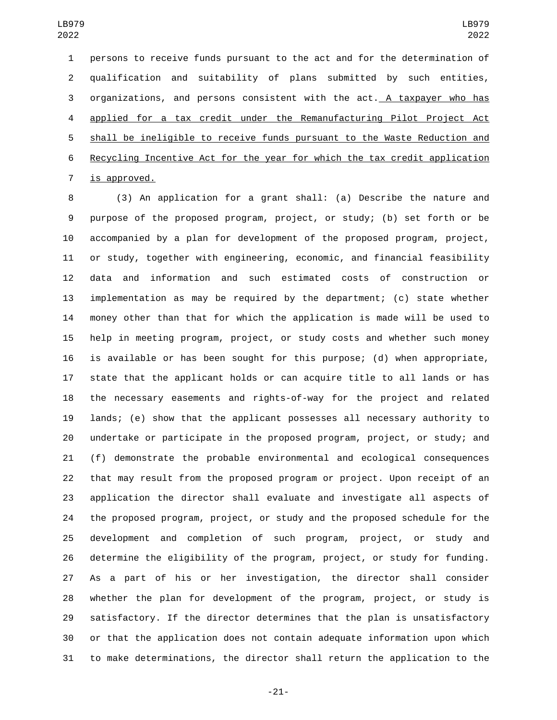persons to receive funds pursuant to the act and for the determination of qualification and suitability of plans submitted by such entities, 3 organizations, and persons consistent with the act. A taxpayer who has applied for a tax credit under the Remanufacturing Pilot Project Act shall be ineligible to receive funds pursuant to the Waste Reduction and Recycling Incentive Act for the year for which the tax credit application 7 is approved.

 (3) An application for a grant shall: (a) Describe the nature and purpose of the proposed program, project, or study; (b) set forth or be accompanied by a plan for development of the proposed program, project, or study, together with engineering, economic, and financial feasibility data and information and such estimated costs of construction or implementation as may be required by the department; (c) state whether money other than that for which the application is made will be used to help in meeting program, project, or study costs and whether such money is available or has been sought for this purpose; (d) when appropriate, state that the applicant holds or can acquire title to all lands or has the necessary easements and rights-of-way for the project and related lands; (e) show that the applicant possesses all necessary authority to undertake or participate in the proposed program, project, or study; and (f) demonstrate the probable environmental and ecological consequences that may result from the proposed program or project. Upon receipt of an application the director shall evaluate and investigate all aspects of the proposed program, project, or study and the proposed schedule for the development and completion of such program, project, or study and determine the eligibility of the program, project, or study for funding. As a part of his or her investigation, the director shall consider whether the plan for development of the program, project, or study is satisfactory. If the director determines that the plan is unsatisfactory or that the application does not contain adequate information upon which to make determinations, the director shall return the application to the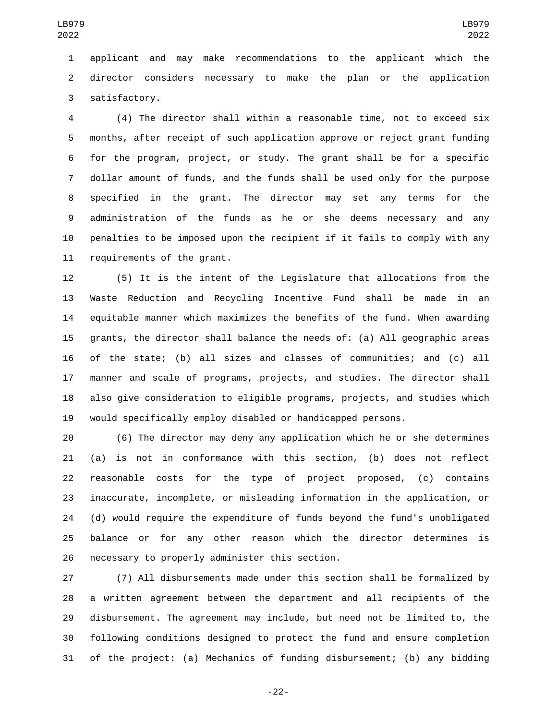applicant and may make recommendations to the applicant which the director considers necessary to make the plan or the application 3 satisfactory.

 (4) The director shall within a reasonable time, not to exceed six months, after receipt of such application approve or reject grant funding for the program, project, or study. The grant shall be for a specific dollar amount of funds, and the funds shall be used only for the purpose specified in the grant. The director may set any terms for the administration of the funds as he or she deems necessary and any penalties to be imposed upon the recipient if it fails to comply with any 11 requirements of the grant.

 (5) It is the intent of the Legislature that allocations from the Waste Reduction and Recycling Incentive Fund shall be made in an equitable manner which maximizes the benefits of the fund. When awarding grants, the director shall balance the needs of: (a) All geographic areas of the state; (b) all sizes and classes of communities; and (c) all manner and scale of programs, projects, and studies. The director shall also give consideration to eligible programs, projects, and studies which would specifically employ disabled or handicapped persons.

 (6) The director may deny any application which he or she determines (a) is not in conformance with this section, (b) does not reflect reasonable costs for the type of project proposed, (c) contains inaccurate, incomplete, or misleading information in the application, or (d) would require the expenditure of funds beyond the fund's unobligated balance or for any other reason which the director determines is 26 necessary to properly administer this section.

 (7) All disbursements made under this section shall be formalized by a written agreement between the department and all recipients of the disbursement. The agreement may include, but need not be limited to, the following conditions designed to protect the fund and ensure completion of the project: (a) Mechanics of funding disbursement; (b) any bidding

-22-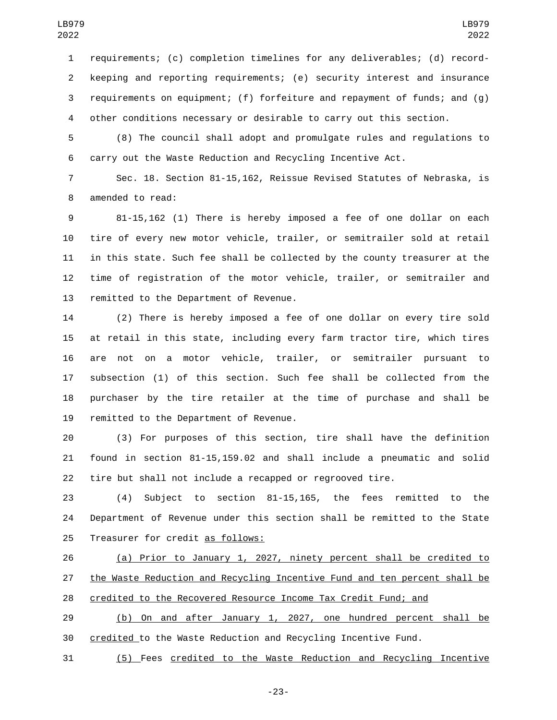requirements; (c) completion timelines for any deliverables; (d) record- keeping and reporting requirements; (e) security interest and insurance requirements on equipment; (f) forfeiture and repayment of funds; and (g) other conditions necessary or desirable to carry out this section.

 (8) The council shall adopt and promulgate rules and regulations to carry out the Waste Reduction and Recycling Incentive Act.

 Sec. 18. Section 81-15,162, Reissue Revised Statutes of Nebraska, is 8 amended to read:

 81-15,162 (1) There is hereby imposed a fee of one dollar on each tire of every new motor vehicle, trailer, or semitrailer sold at retail in this state. Such fee shall be collected by the county treasurer at the time of registration of the motor vehicle, trailer, or semitrailer and 13 remitted to the Department of Revenue.

 (2) There is hereby imposed a fee of one dollar on every tire sold at retail in this state, including every farm tractor tire, which tires are not on a motor vehicle, trailer, or semitrailer pursuant to subsection (1) of this section. Such fee shall be collected from the purchaser by the tire retailer at the time of purchase and shall be 19 remitted to the Department of Revenue.

 (3) For purposes of this section, tire shall have the definition found in section 81-15,159.02 and shall include a pneumatic and solid tire but shall not include a recapped or regrooved tire.

 (4) Subject to section 81-15,165, the fees remitted to the Department of Revenue under this section shall be remitted to the State 25 Treasurer for credit as follows:

 (a) Prior to January 1, 2027, ninety percent shall be credited to the Waste Reduction and Recycling Incentive Fund and ten percent shall be credited to the Recovered Resource Income Tax Credit Fund; and

 (b) On and after January 1, 2027, one hundred percent shall be credited to the Waste Reduction and Recycling Incentive Fund.

(5) Fees credited to the Waste Reduction and Recycling Incentive

-23-